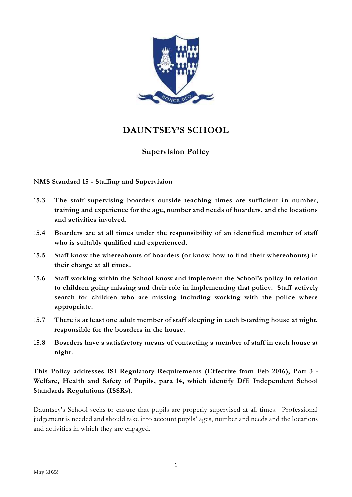

# **DAUNTSEY'S SCHOOL**

# **Supervision Policy**

**NMS Standard 15 - Staffing and Supervision**

- **15.3 The staff supervising boarders outside teaching times are sufficient in number, training and experience for the age, number and needs of boarders, and the locations and activities involved.**
- **15.4 Boarders are at all times under the responsibility of an identified member of staff who is suitably qualified and experienced.**
- **15.5 Staff know the whereabouts of boarders (or know how to find their whereabouts) in their charge at all times.**
- **15.6 Staff working within the School know and implement the School's policy in relation to children going missing and their role in implementing that policy. Staff actively search for children who are missing including working with the police where appropriate.**
- **15.7 There is at least one adult member of staff sleeping in each boarding house at night, responsible for the boarders in the house.**
- **15.8 Boarders have a satisfactory means of contacting a member of staff in each house at night.**

**This Policy addresses ISI Regulatory Requirements (Effective from Feb 2016), Part 3 - Welfare, Health and Safety of Pupils, para 14, which identify DfE Independent School Standards Regulations (ISSRs).**

Dauntsey's School seeks to ensure that pupils are properly supervised at all times. Professional judgement is needed and should take into account pupils' ages, number and needs and the locations and activities in which they are engaged.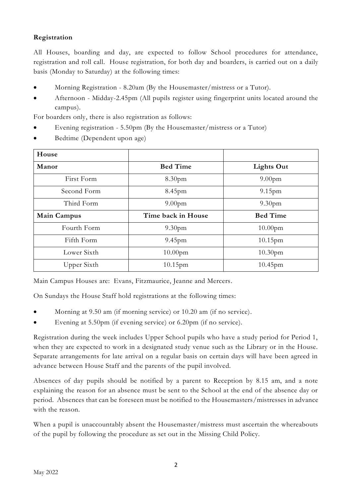# **Registration**

All Houses, boarding and day, are expected to follow School procedures for attendance, registration and roll call. House registration, for both day and boarders, is carried out on a daily basis (Monday to Saturday) at the following times:

- Morning Registration 8.20am (By the Housemaster/mistress or a Tutor).
- Afternoon Midday-2.45pm (All pupils register using fingerprint units located around the campus).

For boarders only, there is also registration as follows:

- Evening registration 5.50pm (By the Housemaster/mistress or a Tutor)
- Bedtime (Dependent upon age)

| House              |                    |                     |
|--------------------|--------------------|---------------------|
| Manor              | <b>Bed Time</b>    | <b>Lights Out</b>   |
| First Form         | 8.30 <sub>pm</sub> | 9.00 <sub>pm</sub>  |
| Second Form        | 8.45 <sub>pm</sub> | $9.15$ pm           |
| Third Form         | 9.00 <sub>pm</sub> | 9.30 <sub>pm</sub>  |
| <b>Main Campus</b> | Time back in House | <b>Bed Time</b>     |
| Fourth Form        | 9.30 <sub>pm</sub> | 10.00 <sub>pm</sub> |
| Fifth Form         | $9.45$ pm          | $10.15$ pm          |
| Lower Sixth        | 10.00pm            | 10.30pm             |
| Upper Sixth        | $10.15$ pm         | $10.45$ pm          |

Main Campus Houses are: Evans, Fitzmaurice, Jeanne and Mercers.

On Sundays the House Staff hold registrations at the following times:

- Morning at 9.50 am (if morning service) or 10.20 am (if no service).
- Evening at 5.50pm (if evening service) or 6.20pm (if no service).

Registration during the week includes Upper School pupils who have a study period for Period 1, when they are expected to work in a designated study venue such as the Library or in the House. Separate arrangements for late arrival on a regular basis on certain days will have been agreed in advance between House Staff and the parents of the pupil involved.

Absences of day pupils should be notified by a parent to Reception by 8.15 am, and a note explaining the reason for an absence must be sent to the School at the end of the absence day or period. Absences that can be foreseen must be notified to the Housemasters/mistresses in advance with the reason.

When a pupil is unaccountably absent the Housemaster/mistress must ascertain the whereabouts of the pupil by following the procedure as set out in the Missing Child Policy.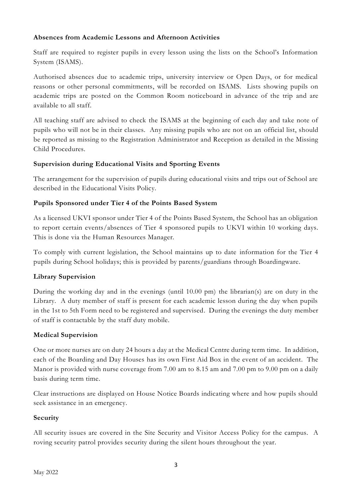# **Absences from Academic Lessons and Afternoon Activities**

Staff are required to register pupils in every lesson using the lists on the School's Information System (ISAMS).

Authorised absences due to academic trips, university interview or Open Days, or for medical reasons or other personal commitments, will be recorded on ISAMS. Lists showing pupils on academic trips are posted on the Common Room noticeboard in advance of the trip and are available to all staff.

All teaching staff are advised to check the ISAMS at the beginning of each day and take note of pupils who will not be in their classes. Any missing pupils who are not on an official list, should be reported as missing to the Registration Administrator and Reception as detailed in the Missing Child Procedures.

# **Supervision during Educational Visits and Sporting Events**

The arrangement for the supervision of pupils during educational visits and trips out of School are described in the Educational Visits Policy.

# **Pupils Sponsored under Tier 4 of the Points Based System**

As a licensed UKVI sponsor under Tier 4 of the Points Based System, the School has an obligation to report certain events/absences of Tier 4 sponsored pupils to UKVI within 10 working days. This is done via the Human Resources Manager.

To comply with current legislation, the School maintains up to date information for the Tier 4 pupils during School holidays; this is provided by parents/guardians through Boardingware.

# **Library Supervision**

During the working day and in the evenings (until 10.00 pm) the librarian(s) are on duty in the Library. A duty member of staff is present for each academic lesson during the day when pupils in the 1st to 5th Form need to be registered and supervised. During the evenings the duty member of staff is contactable by the staff duty mobile.

#### **Medical Supervision**

One or more nurses are on duty 24 hours a day at the Medical Centre during term time. In addition, each of the Boarding and Day Houses has its own First Aid Box in the event of an accident. The Manor is provided with nurse coverage from 7.00 am to 8.15 am and 7.00 pm to 9.00 pm on a daily basis during term time.

Clear instructions are displayed on House Notice Boards indicating where and how pupils should seek assistance in an emergency.

#### **Security**

All security issues are covered in the Site Security and Visitor Access Policy for the campus. A roving security patrol provides security during the silent hours throughout the year.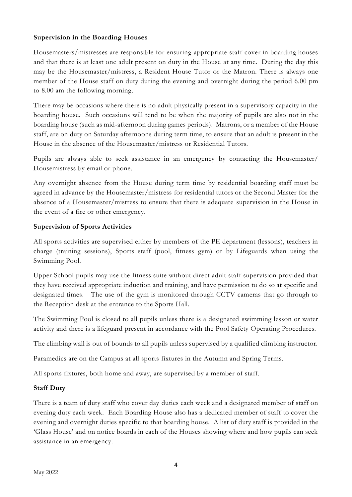#### **Supervision in the Boarding Houses**

Housemasters/mistresses are responsible for ensuring appropriate staff cover in boarding houses and that there is at least one adult present on duty in the House at any time. During the day this may be the Housemaster/mistress, a Resident House Tutor or the Matron. There is always one member of the House staff on duty during the evening and overnight during the period 6.00 pm to 8.00 am the following morning.

There may be occasions where there is no adult physically present in a supervisory capacity in the boarding house. Such occasions will tend to be when the majority of pupils are also not in the boarding house (such as mid-afternoon during games periods). Matrons, or a member of the House staff, are on duty on Saturday afternoons during term time, to ensure that an adult is present in the House in the absence of the Housemaster/mistress or Residential Tutors.

Pupils are always able to seek assistance in an emergency by contacting the Housemaster/ Housemistress by email or phone.

Any overnight absence from the House during term time by residential boarding staff must be agreed in advance by the Housemaster/mistress for residential tutors or the Second Master for the absence of a Housemaster/mistress to ensure that there is adequate supervision in the House in the event of a fire or other emergency.

#### **Supervision of Sports Activities**

All sports activities are supervised either by members of the PE department (lessons), teachers in charge (training sessions), Sports staff (pool, fitness gym) or by Lifeguards when using the Swimming Pool.

Upper School pupils may use the fitness suite without direct adult staff supervision provided that they have received appropriate induction and training, and have permission to do so at specific and designated times. The use of the gym is monitored through CCTV cameras that go through to the Reception desk at the entrance to the Sports Hall.

The Swimming Pool is closed to all pupils unless there is a designated swimming lesson or water activity and there is a lifeguard present in accordance with the Pool Safety Operating Procedures.

The climbing wall is out of bounds to all pupils unless supervised by a qualified climbing instructor.

Paramedics are on the Campus at all sports fixtures in the Autumn and Spring Terms.

All sports fixtures, both home and away, are supervised by a member of staff.

#### **Staff Duty**

There is a team of duty staff who cover day duties each week and a designated member of staff on evening duty each week. Each Boarding House also has a dedicated member of staff to cover the evening and overnight duties specific to that boarding house. A list of duty staff is provided in the 'Glass House' and on notice boards in each of the Houses showing where and how pupils can seek assistance in an emergency.